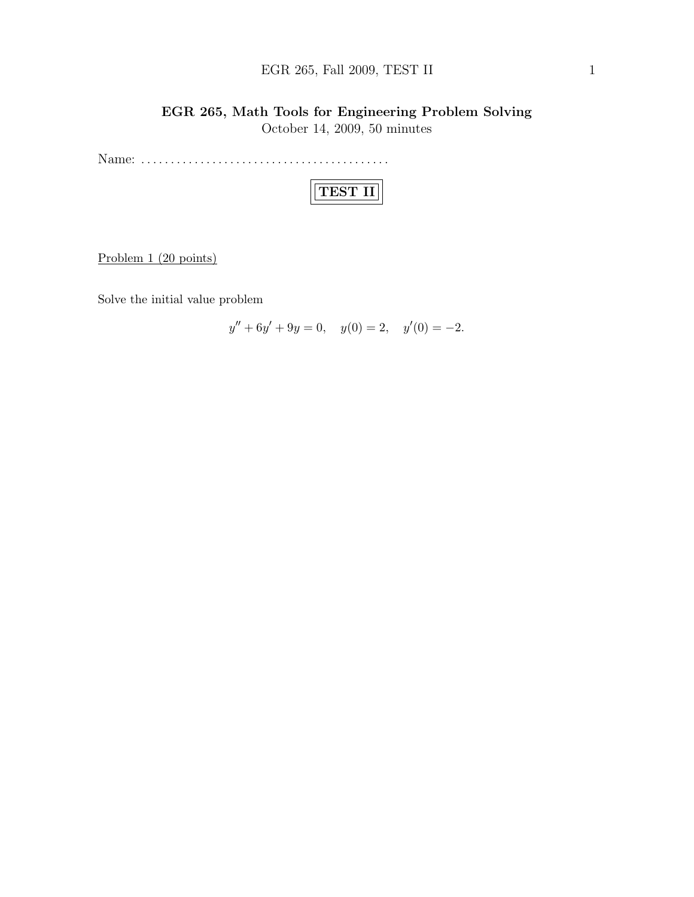## EGR 265, Fall 2009, TEST II 1

# EGR 265, Math Tools for Engineering Problem Solving October 14, 2009, 50 minutes

Name: . . . . . . . . . . . . . . . . . . . . . . . . . . . . . . . . . . . . . . . . . .

|--|

Problem 1 (20 points)

Solve the initial value problem

$$
y'' + 6y' + 9y = 0, \quad y(0) = 2, \quad y'(0) = -2.
$$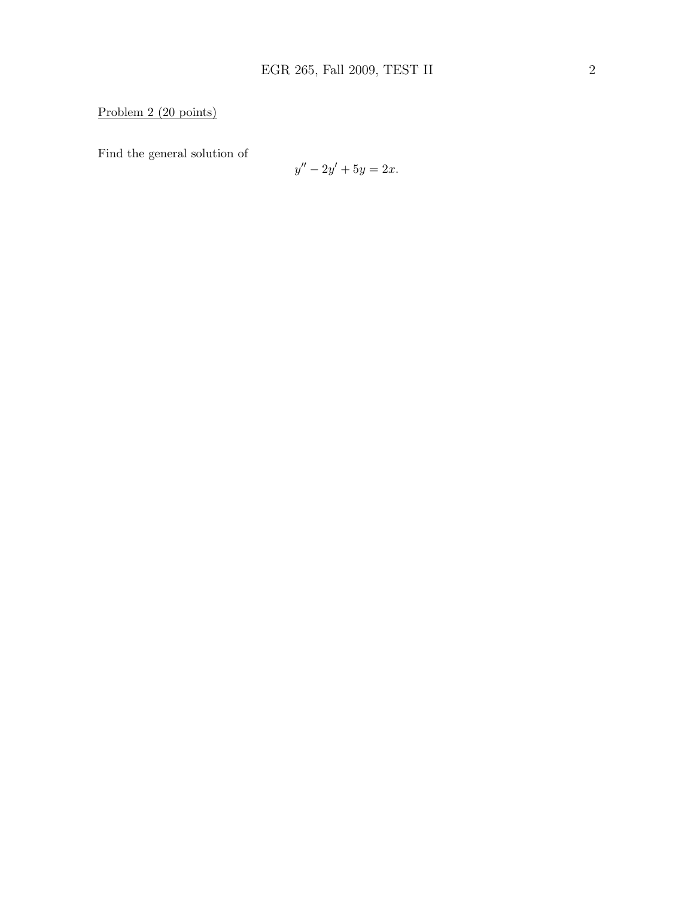## Problem 2 (20 points)

Find the general solution of

$$
y'' - 2y' + 5y = 2x.
$$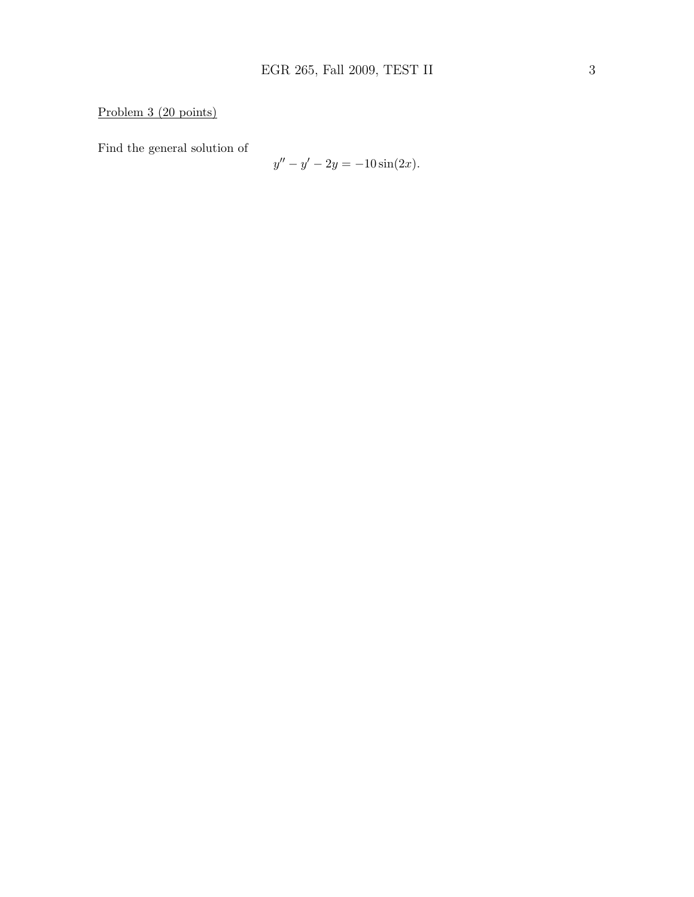## Problem 3 (20 points)

Find the general solution of

$$
y'' - y' - 2y = -10\sin(2x).
$$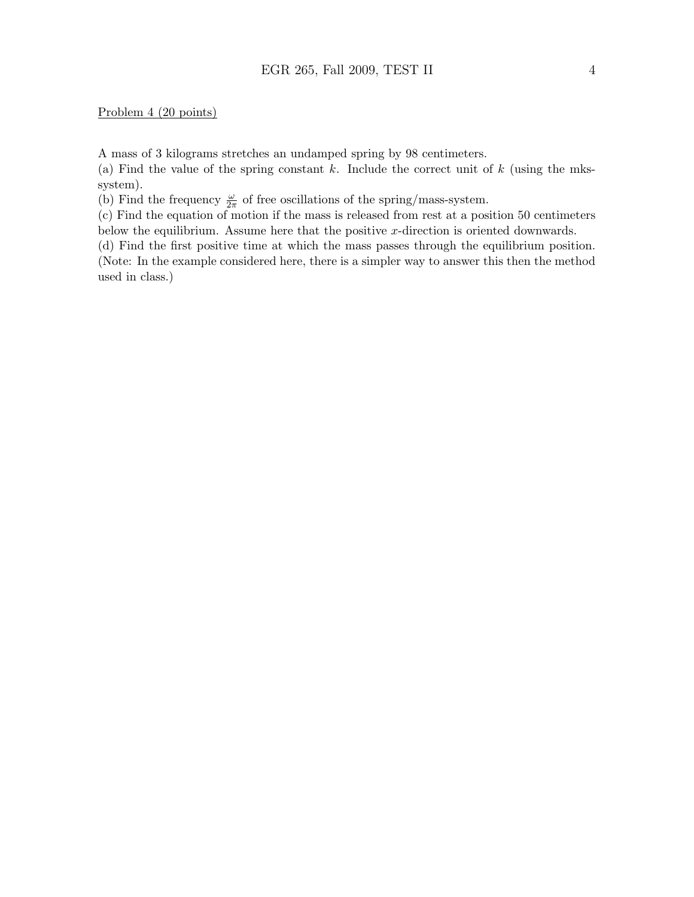#### Problem 4 (20 points)

A mass of 3 kilograms stretches an undamped spring by 98 centimeters.

(a) Find the value of the spring constant k. Include the correct unit of  $k$  (using the mkssystem).

(b) Find the frequency  $\frac{\omega}{2\pi}$  of free oscillations of the spring/mass-system.

(c) Find the equation of motion if the mass is released from rest at a position 50 centimeters below the equilibrium. Assume here that the positive  $x$ -direction is oriented downwards.

(d) Find the first positive time at which the mass passes through the equilibrium position. (Note: In the example considered here, there is a simpler way to answer this then the method used in class.)